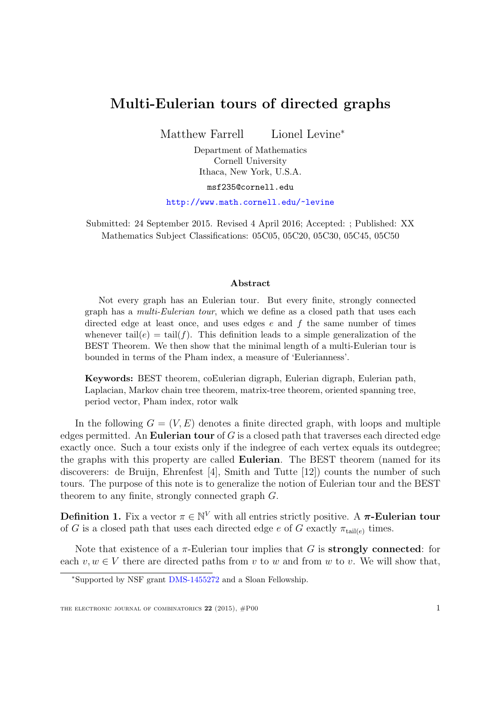## Multi-Eulerian tours of directed graphs

Matthew Farrell Lionel Levine<sup>∗</sup>

Department of Mathematics Cornell University Ithaca, New York, U.S.A.

msf235@cornell.edu

<http://www.math.cornell.edu/~levine>

Submitted: 24 September 2015. Revised 4 April 2016; Accepted: ; Published: XX Mathematics Subject Classifications: 05C05, 05C20, 05C30, 05C45, 05C50

## Abstract

Not every graph has an Eulerian tour. But every finite, strongly connected graph has a multi-Eulerian tour, which we define as a closed path that uses each directed edge at least once, and uses edges  $e$  and  $f$  the same number of times whenever tail(e) = tail(f). This definition leads to a simple generalization of the BEST Theorem. We then show that the minimal length of a multi-Eulerian tour is bounded in terms of the Pham index, a measure of 'Eulerianness'.

Keywords: BEST theorem, coEulerian digraph, Eulerian digraph, Eulerian path, Laplacian, Markov chain tree theorem, matrix-tree theorem, oriented spanning tree, period vector, Pham index, rotor walk

In the following  $G = (V, E)$  denotes a finite directed graph, with loops and multiple edges permitted. An Eulerian tour of  $G$  is a closed path that traverses each directed edge exactly once. Such a tour exists only if the indegree of each vertex equals its outdegree; the graphs with this property are called Eulerian. The BEST theorem (named for its discoverers: de Bruijn, Ehrenfest [\[4\]](#page-6-0), Smith and Tutte [\[12\]](#page-6-1)) counts the number of such tours. The purpose of this note is to generalize the notion of Eulerian tour and the BEST theorem to any finite, strongly connected graph G.

**Definition 1.** Fix a vector  $\pi \in \mathbb{N}^V$  with all entries strictly positive. A  $\pi$ -Eulerian tour of G is a closed path that uses each directed edge e of G exactly  $\pi_{\text{tail}(e)}$  times.

Note that existence of a  $\pi$ -Eulerian tour implies that G is **strongly connected**: for each  $v, w \in V$  there are directed paths from v to w and from w to v. We will show that,

<sup>∗</sup>Supported by NSF grant [DMS-1455272](http://www.nsf.gov/awardsearch/showAward?AWD_ID=1455272) and a Sloan Fellowship.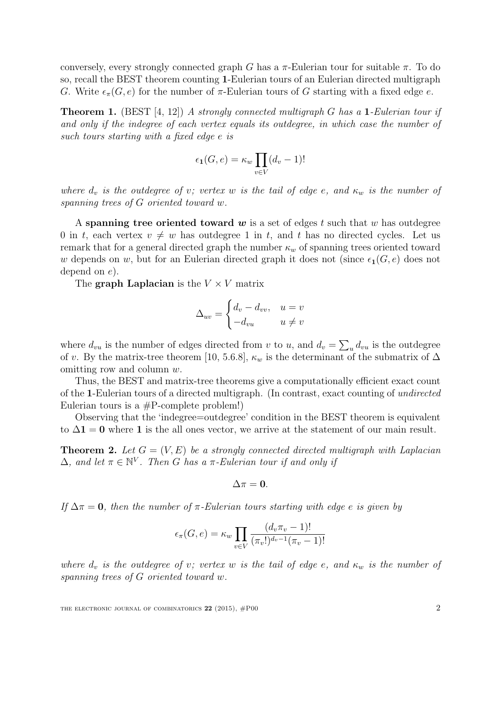conversely, every strongly connected graph G has a  $\pi$ -Eulerian tour for suitable  $\pi$ . To do so, recall the BEST theorem counting 1-Eulerian tours of an Eulerian directed multigraph G. Write  $\epsilon_{\pi}(G, e)$  for the number of  $\pi$ -Eulerian tours of G starting with a fixed edge e.

**Theorem 1.** (BEST [\[4,](#page-6-0) [12\]](#page-6-1)) A strongly connected multigraph G has a 1-Eulerian tour if and only if the indegree of each vertex equals its outdegree, in which case the number of such tours starting with a fixed edge e is

$$
\epsilon_{1}(G, e) = \kappa_{w} \prod_{v \in V} (d_{v} - 1)!
$$

where  $d_v$  is the outdegree of v; vertex w is the tail of edge e, and  $\kappa_w$  is the number of spanning trees of G oriented toward w.

A spanning tree oriented toward  $w$  is a set of edges t such that w has outdegree 0 in t, each vertex  $v \neq w$  has outdegree 1 in t, and t has no directed cycles. Let us remark that for a general directed graph the number  $\kappa_w$  of spanning trees oriented toward w depends on w, but for an Eulerian directed graph it does not (since  $\epsilon_1(G, e)$ ) does not depend on e).

The graph Laplacian is the  $V \times V$  matrix

$$
\Delta_{uv} = \begin{cases} d_v - d_{vv}, & u = v \\ -d_{vu} & u \neq v \end{cases}
$$

where  $d_{vu}$  is the number of edges directed from v to u, and  $d_v = \sum_u d_{vu}$  is the outdegree of v. By the matrix-tree theorem [\[10,](#page-6-2) 5.6.8],  $\kappa_w$  is the determinant of the submatrix of  $\Delta$ omitting row and column w.

Thus, the BEST and matrix-tree theorems give a computationally efficient exact count of the 1-Eulerian tours of a directed multigraph. (In contrast, exact counting of undirected Eulerian tours is a  $#P$ -complete problem!)

Observing that the 'indegree=outdegree' condition in the BEST theorem is equivalent to  $\Delta$ 1 = 0 where 1 is the all ones vector, we arrive at the statement of our main result.

<span id="page-1-0"></span>**Theorem 2.** Let  $G = (V, E)$  be a strongly connected directed multigraph with Laplacian  $\Delta$ , and let  $\pi \in \mathbb{N}^V$ . Then G has a  $\pi$ -Eulerian tour if and only if

$$
\Delta \pi = 0.
$$

If  $\Delta \pi = 0$ , then the number of  $\pi$ -Eulerian tours starting with edge e is given by

$$
\epsilon_{\pi}(G, e) = \kappa_w \prod_{v \in V} \frac{(d_v \pi_v - 1)!}{(\pi_v!)^{d_v - 1} (\pi_v - 1)!}
$$

where  $d_v$  is the outdegree of v; vertex w is the tail of edge e, and  $\kappa_w$  is the number of spanning trees of G oriented toward w.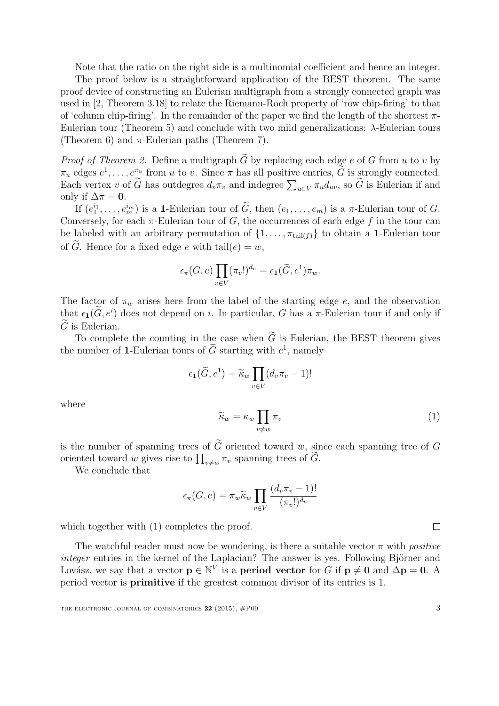Note that the ratio on the right side is a multinomial coefficient and hence an integer.

The proof below is a straightforward application of the BEST theorem. The same proof device of constructing an Eulerian multigraph from a strongly connected graph was used in [\[2,](#page-6-3) Theorem 3.18] to relate the Riemann-Roch property of 'row chip-firing' to that of 'column chip-firing'. In the remainder of the paper we find the length of the shortest  $\pi$ -Eulerian tour (Theorem [5\)](#page-3-0) and conclude with two mild generalizations: λ-Eulerian tours (Theorem [6\)](#page-4-0) and  $\pi$ -Eulerian paths (Theorem [7\)](#page-5-0).

*Proof of Theorem [2.](#page-1-0)* Define a multigraph  $\widetilde{G}$  by replacing each edge e of G from u to v by  $\pi_u$  edges  $e^1, \ldots, e^{\pi_u}$  from u to v. Since  $\pi$  has all positive entries,  $\tilde{G}$  is strongly connected. Each vertex v of G has outdegree  $d_v \pi_v$  and indegree  $\sum_{u \in V} \pi_u d_{uv}$ , so G is Eulerian if and only if  $\Delta \pi = 0$ .

If  $(e_1^{i_1}, \ldots, e_m^{i_m})$  is a 1-Eulerian tour of  $\widetilde{G}$ , then  $(e_1, \ldots, e_m)$  is a  $\pi$ -Eulerian tour of  $G$ . Conversely, for each  $\pi$ -Eulerian tour of G, the occurrences of each edge f in the tour can be labeled with an arbitrary permutation of  $\{1, \ldots, \pi_{\text{tail}(f)}\}$  to obtain a 1-Eulerian tour of  $\tilde{G}$ . Hence for a fixed edge e with tail $(e) = w$ ,

$$
\epsilon_{\pi}(G,e)\prod_{v\in V}(\pi_v!)^{d_v}=\epsilon_1(\widetilde{G},e^1)\pi_w.
$$

The factor of  $\pi_w$  arises here from the label of the starting edge e, and the observation that  $\epsilon_1(\tilde{G}, e^i)$  does not depend on i. In particular, G has a  $\pi$ -Eulerian tour if and only if  $\tilde{G}$  is Eulerian.

To complete the counting in the case when  $\tilde{G}$  is Eulerian, the BEST theorem gives the number of 1-Eulerian tours of  $\tilde{G}$  starting with  $e^1$ , namely

$$
\epsilon_{1}(\widetilde{G},e^{1}) = \widetilde{\kappa}_{w} \prod_{v \in V} (d_{v}\pi_{v} - 1)!
$$

<span id="page-2-0"></span>where

$$
\widetilde{\kappa}_w = \kappa_w \prod_{v \neq w} \pi_v \tag{1}
$$

is the number of spanning trees of  $\tilde{G}$  oriented toward w, since each spanning tree of G oriented toward w gives rise to  $\prod_{v \neq w} \pi_v$  spanning trees of G.

We conclude that

$$
\epsilon_{\pi}(G, e) = \pi_w \widetilde{\kappa}_w \prod_{v \in V} \frac{(d_v \pi_v - 1)!}{(\pi_v!)^{d_v}}
$$

which together with  $(1)$  completes the proof.

The watchful reader must now be wondering, is there a suitable vector  $\pi$  with *positive* integer entries in the kernel of the Laplacian? The answer is yes. Following Björner and Lovász, we say that a vector  $p \in \mathbb{N}^V$  is a **period vector** for G if  $p \neq 0$  and  $\Delta p = 0$ . A period vector is primitive if the greatest common divisor of its entries is 1.

 $\Box$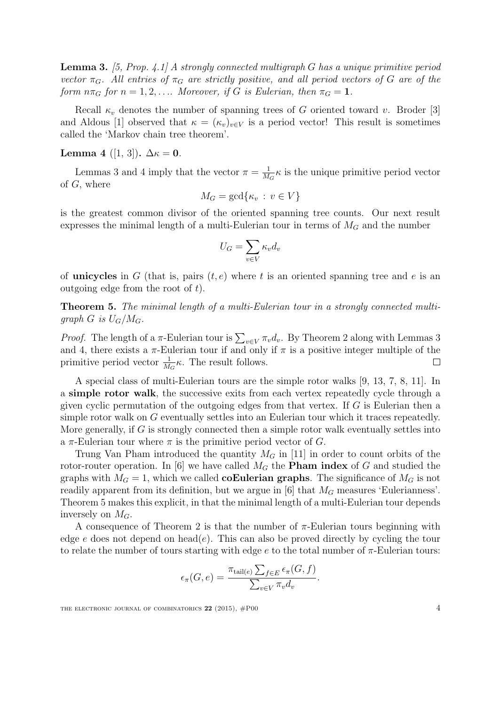<span id="page-3-1"></span>**Lemma 3.** [\[5,](#page-6-4) Prop. 4.1] A strongly connected multigraph G has a unique primitive period vector  $\pi_G$ . All entries of  $\pi_G$  are strictly positive, and all period vectors of G are of the form  $n\pi_G$  for  $n = 1, 2, \ldots$  Moreover, if G is Eulerian, then  $\pi_G = 1$ .

Recall  $\kappa_v$  denotes the number of spanning trees of G oriented toward v. Broder [\[3\]](#page-6-5) and Aldous [\[1\]](#page-5-1) observed that  $\kappa = (\kappa_v)_{v \in V}$  is a period vector! This result is sometimes called the 'Markov chain tree theorem'.

<span id="page-3-2"></span>Lemma 4 ([\[1,](#page-5-1) [3\]](#page-6-5)).  $\Delta \kappa = 0$ .

Lemmas [3](#page-3-1) and [4](#page-3-2) imply that the vector  $\pi = \frac{1}{M}$  $\frac{1}{M_G}$   $\kappa$  is the unique primitive period vector of G, where

$$
M_G = \gcd\{\kappa_v : v \in V\}
$$

is the greatest common divisor of the oriented spanning tree counts. Our next result expresses the minimal length of a multi-Eulerian tour in terms of  $M_G$  and the number

$$
U_G = \sum_{v \in V} \kappa_v d_v
$$

of **unicycles** in G (that is, pairs  $(t, e)$ ) where t is an oriented spanning tree and e is an outgoing edge from the root of  $t$ ).

<span id="page-3-0"></span>Theorem 5. The minimal length of a multi-Eulerian tour in a strongly connected multigraph G is  $U_G/M_G$ .

*Proof.* The length of a  $\pi$ -Eulerian tour is  $\sum_{v \in V} \pi_v d_v$ . By Theorem [2](#page-1-0) along with Lemmas [3](#page-3-1) and [4,](#page-3-2) there exists a  $\pi$ -Eulerian tour if and only if  $\pi$  is a positive integer multiple of the primitive period vector  $\frac{1}{M_G} \kappa$ . The result follows.  $\Box$ 

A special class of multi-Eulerian tours are the simple rotor walks [\[9,](#page-6-6) [13,](#page-6-7) [7,](#page-6-8) [8,](#page-6-9) [11\]](#page-6-10). In a simple rotor walk, the successive exits from each vertex repeatedly cycle through a given cyclic permutation of the outgoing edges from that vertex. If  $G$  is Eulerian then a simple rotor walk on G eventually settles into an Eulerian tour which it traces repeatedly. More generally, if  $G$  is strongly connected then a simple rotor walk eventually settles into a  $\pi$ -Eulerian tour where  $\pi$  is the primitive period vector of G.

Trung Van Pham introduced the quantity  $M_G$  in [\[11\]](#page-6-10) in order to count orbits of the rotor-router operation. In [\[6\]](#page-6-11) we have called  $M_G$  the **Pham index** of G and studied the graphs with  $M_G = 1$ , which we called **coEulerian graphs**. The significance of  $M_G$  is not readily apparent from its definition, but we argue in [\[6\]](#page-6-11) that  $M_G$  measures 'Eulerianness'. Theorem [5](#page-3-0) makes this explicit, in that the minimal length of a multi-Eulerian tour depends inversely on  $M_G$ .

A consequence of Theorem [2](#page-1-0) is that the number of  $\pi$ -Eulerian tours beginning with edge e does not depend on head(e). This can also be proved directly by cycling the tour to relate the number of tours starting with edge  $e$  to the total number of  $\pi$ -Eulerian tours:

$$
\epsilon_{\pi}(G, e) = \frac{\pi_{\text{tail}(e)} \sum_{f \in E} \epsilon_{\pi}(G, f)}{\sum_{v \in V} \pi_v d_v}.
$$

THE ELECTRONIC JOURNAL OF COMBINATORICS  $22$  (2015),  $\#P00$  4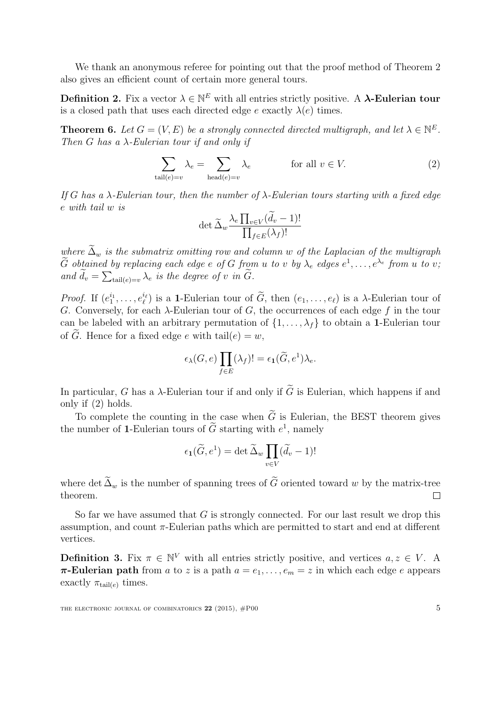We thank an anonymous referee for pointing out that the proof method of Theorem [2](#page-1-0) also gives an efficient count of certain more general tours.

**Definition 2.** Fix a vector  $\lambda \in \mathbb{N}^E$  with all entries strictly positive. A  $\lambda$ **-Eulerian tour** is a closed path that uses each directed edge e exactly  $\lambda(e)$  times.

<span id="page-4-0"></span>**Theorem 6.** Let  $G = (V, E)$  be a strongly connected directed multigraph, and let  $\lambda \in \mathbb{N}^E$ . Then G has a  $\lambda$ -Eulerian tour if and only if

$$
\sum_{\text{tail}(e)=v} \lambda_e = \sum_{\text{head}(e)=v} \lambda_e \qquad \text{for all } v \in V. \tag{2}
$$

If G has a  $\lambda$ -Eulerian tour, then the number of  $\lambda$ -Eulerian tours starting with a fixed edge e with tail w is

<span id="page-4-1"></span>
$$
\det \widetilde{\Delta}_w \frac{\lambda_e \prod_{v \in V} (d_v - 1)!}{\prod_{f \in E} (\lambda_f)!}
$$

where  $\tilde{\Delta}_w$  is the submatrix omitting row and column w of the Laplacian of the multigraph  $\widetilde{G}$  obtained by replacing each edge e of  $G$  from u to v by  $\lambda_e$  edges  $e^1, \ldots, e^{\lambda_e}$  from u to v; and  $d_v = \sum_{\text{tail}(e)=v} \lambda_e$  is the degree of v in G.

*Proof.* If  $(e_1^{i_1}, \ldots, e_\ell^{i_\ell})$  is a 1-Eulerian tour of  $\widetilde{G}$ , then  $(e_1, \ldots, e_\ell)$  is a  $\lambda$ -Eulerian tour of G. Conversely, for each  $\lambda$ -Eulerian tour of G, the occurrences of each edge f in the tour can be labeled with an arbitrary permutation of  $\{1, \ldots, \lambda_f\}$  to obtain a 1-Eulerian tour of  $\tilde{G}$ . Hence for a fixed edge e with tail $(e) = w$ ,

$$
\epsilon_{\lambda}(G, e) \prod_{f \in E} (\lambda_f)! = \epsilon_1(\widetilde{G}, e^1) \lambda_e.
$$

In particular, G has a  $\lambda$ -Eulerian tour if and only if  $\tilde{G}$  is Eulerian, which happens if and only if [\(2\)](#page-4-1) holds.

To complete the counting in the case when  $\tilde{G}$  is Eulerian, the BEST theorem gives the number of 1-Eulerian tours of  $\tilde{G}$  starting with  $e^1$ , namely

$$
\epsilon_1(\widetilde{G}, e^1) = \det \widetilde{\Delta}_w \prod_{v \in V} (\widetilde{d}_v - 1)!
$$

where det  $\tilde{\Delta}_w$  is the number of spanning trees of  $\tilde{G}$  oriented toward w by the matrix-tree theorem. theorem.

So far we have assumed that  $G$  is strongly connected. For our last result we drop this assumption, and count  $\pi$ -Eulerian paths which are permitted to start and end at different vertices.

**Definition 3.** Fix  $\pi \in \mathbb{N}^V$  with all entries strictly positive, and vertices  $a, z \in V$ . A  $\pi$ **-Eulerian path** from a to z is a path  $a = e_1, \ldots, e_m = z$  in which each edge e appears exactly  $\pi_{\text{tail}(e)}$  times.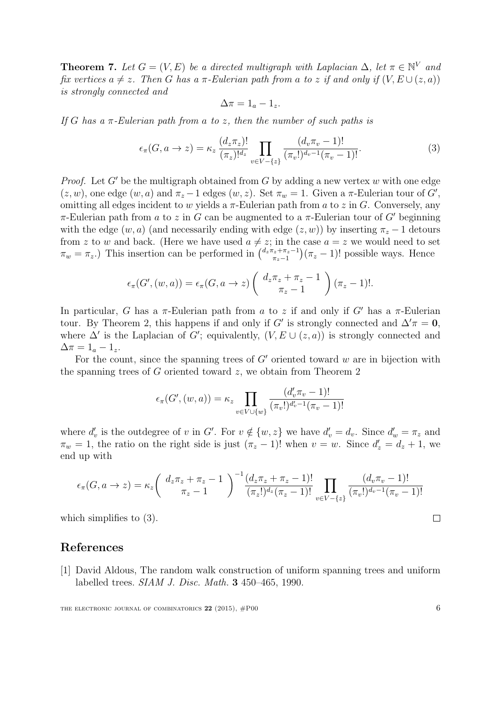<span id="page-5-0"></span>**Theorem 7.** Let  $G = (V, E)$  be a directed multigraph with Laplacian  $\Delta$ , let  $\pi \in \mathbb{N}^V$  and fix vertices  $a \neq z$ . Then G has a  $\pi$ -Eulerian path from a to z if and only if  $(V, E \cup (z, a))$ is strongly connected and

<span id="page-5-2"></span>
$$
\Delta \pi = 1_a - 1_z.
$$

If G has a  $\pi$ -Eulerian path from a to z, then the number of such paths is

$$
\epsilon_{\pi}(G, a \to z) = \kappa_z \, \frac{(d_z \pi_z)!}{(\pi_z)!^{d_z}} \prod_{v \in V - \{z\}} \frac{(d_v \pi_v - 1)!}{(\pi_v!)^{d_v - 1} (\pi_v - 1)!}.
$$
 (3)

*Proof.* Let G' be the multigraph obtained from G by adding a new vertex w with one edge  $(z, w)$ , one edge  $(w, a)$  and  $\pi_z - 1$  edges  $(w, z)$ . Set  $\pi_w = 1$ . Given a  $\pi$ -Eulerian tour of  $G'$ , omitting all edges incident to w yields a  $\pi$ -Eulerian path from a to z in G. Conversely, any  $π$ -Eulerian path from a to z in G can be augmented to a π-Eulerian tour of G' beginning with the edge  $(w, a)$  (and necessarily ending with edge  $(z, w)$ ) by inserting  $\pi_z - 1$  detours from z to w and back. (Here we have used  $a \neq z$ ; in the case  $a = z$  we would need to set  $\pi_w = \pi_z$ .) This insertion can be performed in  $\binom{d_z \pi_z + \pi_z - 1}{\pi_z - 1}$  $(\pi_z + \pi_z - 1)(\pi_z - 1)!$  possible ways. Hence

$$
\epsilon_{\pi}(G', (w, a)) = \epsilon_{\pi}(G, a \to z) \left( \begin{array}{c} d_z \pi_z + \pi_z - 1 \\ \pi_z - 1 \end{array} \right) (\pi_z - 1)!.
$$

In particular, G has a  $\pi$ -Eulerian path from a to z if and only if G' has a  $\pi$ -Eulerian tour. By Theorem [2,](#page-1-0) this happens if and only if G' is strongly connected and  $\Delta'\pi = 0$ , where  $\Delta'$  is the Laplacian of G'; equivalently,  $(V, E \cup (z, a))$  is strongly connected and  $\Delta \pi = 1_a - 1_z.$ 

For the count, since the spanning trees of  $G'$  oriented toward w are in bijection with the spanning trees of  $G$  oriented toward  $z$ , we obtain from Theorem [2](#page-1-0)

$$
\epsilon_{\pi}(G', (w, a)) = \kappa_z \prod_{v \in V \cup \{w\}} \frac{(d'_v \pi_v - 1)!}{(\pi_v!)^{d'_v - 1} (\pi_v - 1)!}
$$

where  $d'_v$  is the outdegree of v in G'. For  $v \notin \{w, z\}$  we have  $d'_v = d_v$ . Since  $d'_w = \pi_z$  and  $\pi_w = 1$ , the ratio on the right side is just  $(\pi_z - 1)!$  when  $v = w$ . Since  $d'_z = d_z + 1$ , we end up with

$$
\epsilon_{\pi}(G, a \to z) = \kappa_z \left( \begin{array}{c} d_z \pi_z + \pi_z - 1 \\ \pi_z - 1 \end{array} \right)^{-1} \frac{(d_z \pi_z + \pi_z - 1)!}{(\pi_z!)^{d_z} (\pi_z - 1)!} \prod_{v \in V - \{z\}} \frac{(d_v \pi_v - 1)!}{(\pi_v!)^{d_v - 1} (\pi_v - 1)!}
$$

which simplifies to  $(3)$ .

## References

<span id="page-5-1"></span>[1] David Aldous, The random walk construction of uniform spanning trees and uniform labelled trees. SIAM J. Disc. Math. 3 450–465, 1990.

 $\Box$